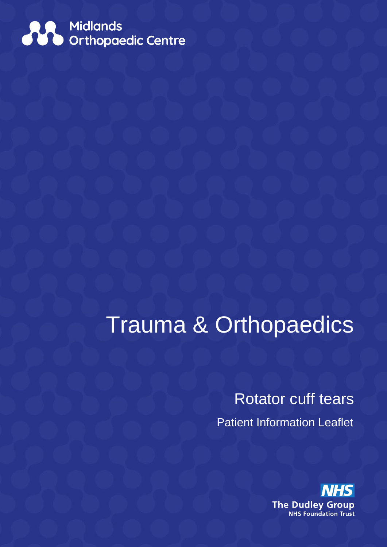

# Trauma & Orthopaedics

Rotator cuff tears Patient Information Leaflet

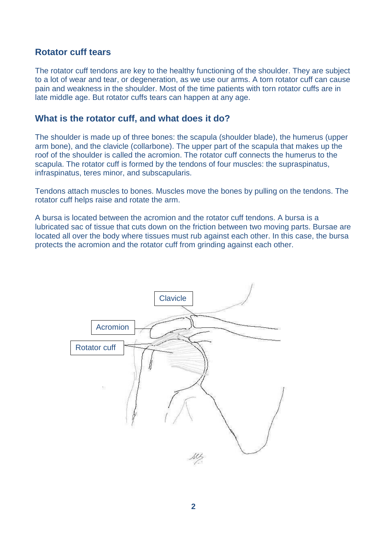## **Rotator cuff tears**

The rotator cuff tendons are key to the healthy functioning of the shoulder. They are subject to a lot of wear and tear, or degeneration, as we use our arms. A torn rotator cuff can cause pain and weakness in the shoulder. Most of the time patients with torn rotator cuffs are in late middle age. But rotator cuffs tears can happen at any age.

## **What is the rotator cuff, and what does it do?**

The shoulder is made up of three bones: the scapula (shoulder blade), the humerus (upper arm bone), and the clavicle (collarbone). The upper part of the scapula that makes up the roof of the shoulder is called the acromion. The rotator cuff connects the humerus to the scapula. The rotator cuff is formed by the tendons of four muscles: the supraspinatus, infraspinatus, teres minor, and subscapularis.

Tendons attach muscles to bones. Muscles move the bones by pulling on the tendons. The rotator cuff helps raise and rotate the arm.

A bursa is located between the acromion and the rotator cuff tendons. A bursa is a lubricated sac of tissue that cuts down on the friction between two moving parts. Bursae are located all over the body where tissues must rub against each other. In this case, the bursa protects the acromion and the rotator cuff from grinding against each other.

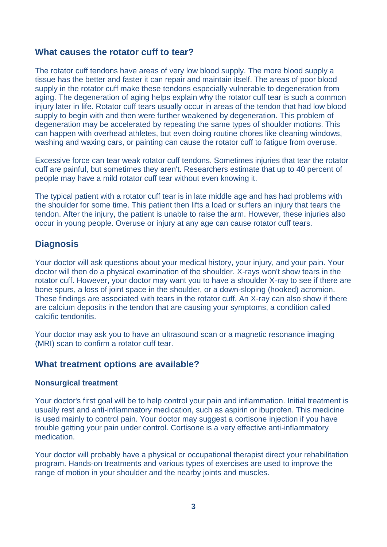## **What causes the rotator cuff to tear?**

The rotator cuff tendons have areas of very low blood supply. The more blood supply a tissue has the better and faster it can repair and maintain itself. The areas of poor blood supply in the rotator cuff make these tendons especially vulnerable to degeneration from aging. The degeneration of aging helps explain why the rotator cuff tear is such a common injury later in life. Rotator cuff tears usually occur in areas of the tendon that had low blood supply to begin with and then were further weakened by degeneration. This problem of degeneration may be accelerated by repeating the same types of shoulder motions. This can happen with overhead athletes, but even doing routine chores like cleaning windows, washing and waxing cars, or painting can cause the rotator cuff to fatigue from overuse.

Excessive force can tear weak rotator cuff tendons. Sometimes injuries that tear the rotator cuff are painful, but sometimes they aren't. Researchers estimate that up to 40 percent of people may have a mild rotator cuff tear without even knowing it.

The typical patient with a rotator cuff tear is in late middle age and has had problems with the shoulder for some time. This patient then lifts a load or suffers an injury that tears the tendon. After the injury, the patient is unable to raise the arm. However, these injuries also occur in young people. Overuse or injury at any age can cause rotator cuff tears.

# **Diagnosis**

Your doctor will ask questions about your medical history, your injury, and your pain. Your doctor will then do a physical examination of the shoulder. X-rays won't show tears in the rotator cuff. However, your doctor may want you to have a shoulder X-ray to see if there are bone spurs, a loss of joint space in the shoulder, or a down-sloping (hooked) acromion. These findings are associated with tears in the rotator cuff. An X-ray can also show if there are calcium deposits in the tendon that are causing your symptoms, a condition called calcific tendonitis.

Your doctor may ask you to have an ultrasound scan or a magnetic resonance imaging (MRI) scan to confirm a rotator cuff tear.

# **What treatment options are available?**

#### **Nonsurgical treatment**

Your doctor's first goal will be to help control your pain and inflammation. Initial treatment is usually rest and anti-inflammatory medication, such as aspirin or ibuprofen. This medicine is used mainly to control pain. Your doctor may suggest a cortisone injection if you have trouble getting your pain under control. Cortisone is a very effective anti-inflammatory medication.

Your doctor will probably have a physical or occupational therapist direct your rehabilitation program. Hands-on treatments and various types of exercises are used to improve the range of motion in your shoulder and the nearby joints and muscles.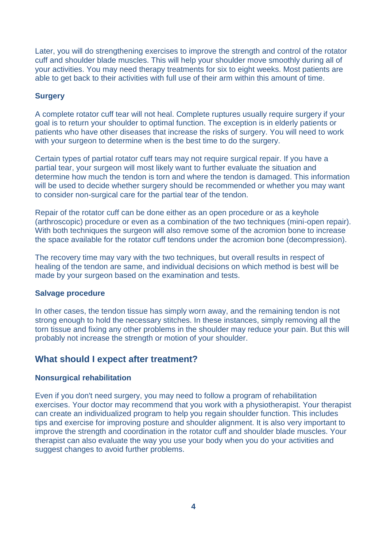Later, you will do strengthening exercises to improve the strength and control of the rotator cuff and shoulder blade muscles. This will help your shoulder move smoothly during all of your activities. You may need therapy treatments for six to eight weeks. Most patients are able to get back to their activities with full use of their arm within this amount of time.

#### **Surgery**

A complete rotator cuff tear will not heal. Complete ruptures usually require surgery if your goal is to return your shoulder to optimal function. The exception is in elderly patients or patients who have other diseases that increase the risks of surgery. You will need to work with your surgeon to determine when is the best time to do the surgery.

Certain types of partial rotator cuff tears may not require surgical repair. If you have a partial tear, your surgeon will most likely want to further evaluate the situation and determine how much the tendon is torn and where the tendon is damaged. This information will be used to decide whether surgery should be recommended or whether you may want to consider non-surgical care for the partial tear of the tendon.

Repair of the rotator cuff can be done either as an open procedure or as a keyhole (arthroscopic) procedure or even as a combination of the two techniques (mini-open repair). With both techniques the surgeon will also remove some of the acromion bone to increase the space available for the rotator cuff tendons under the acromion bone (decompression).

The recovery time may vary with the two techniques, but overall results in respect of healing of the tendon are same, and individual decisions on which method is best will be made by your surgeon based on the examination and tests.

#### **Salvage procedure**

In other cases, the tendon tissue has simply worn away, and the remaining tendon is not strong enough to hold the necessary stitches. In these instances, simply removing all the torn tissue and fixing any other problems in the shoulder may reduce your pain. But this will probably not increase the strength or motion of your shoulder.

## **What should I expect after treatment?**

#### **Nonsurgical rehabilitation**

Even if you don't need surgery, you may need to follow a program of rehabilitation exercises. Your doctor may recommend that you work with a physiotherapist. Your therapist can create an individualized program to help you regain shoulder function. This includes tips and exercise for improving posture and shoulder alignment. It is also very important to improve the strength and coordination in the rotator cuff and shoulder blade muscles. Your therapist can also evaluate the way you use your body when you do your activities and suggest changes to avoid further problems.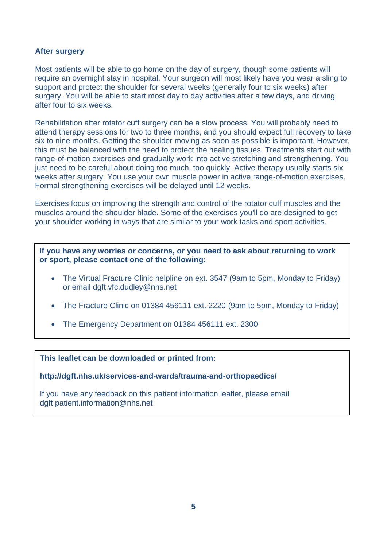#### **After surgery**

Most patients will be able to go home on the day of surgery, though some patients will require an overnight stay in hospital. Your surgeon will most likely have you wear a sling to support and protect the shoulder for several weeks (generally four to six weeks) after surgery. You will be able to start most day to day activities after a few days, and driving after four to six weeks.

Rehabilitation after rotator cuff surgery can be a slow process. You will probably need to attend therapy sessions for two to three months, and you should expect full recovery to take six to nine months. Getting the shoulder moving as soon as possible is important. However, this must be balanced with the need to protect the healing tissues. Treatments start out with range-of-motion exercises and gradually work into active stretching and strengthening. You just need to be careful about doing too much, too quickly. Active therapy usually starts six weeks after surgery. You use your own muscle power in active range-of-motion exercises. Formal strengthening exercises will be delayed until 12 weeks.

Exercises focus on improving the strength and control of the rotator cuff muscles and the muscles around the shoulder blade. Some of the exercises you'll do are designed to get your shoulder working in ways that are similar to your work tasks and sport activities.

**If you have any worries or concerns, or you need to ask about returning to work or sport, please contact one of the following:** 

- The Virtual Fracture Clinic helpline on ext. 3547 (9am to 5pm, Monday to Friday) or email dgft.vfc.dudley@nhs.net
- The Fracture Clinic on 01384 456111 ext. 2220 (9am to 5pm, Monday to Friday)
- The Emergency Department on 01384 456111 ext. 2300

**This leaflet can be downloaded or printed from:**

**http://dgft.nhs.uk/services-and-wards/trauma-and-orthopaedics/**

If you have any feedback on this patient information leaflet, please email dgft.patient.information@nhs.net